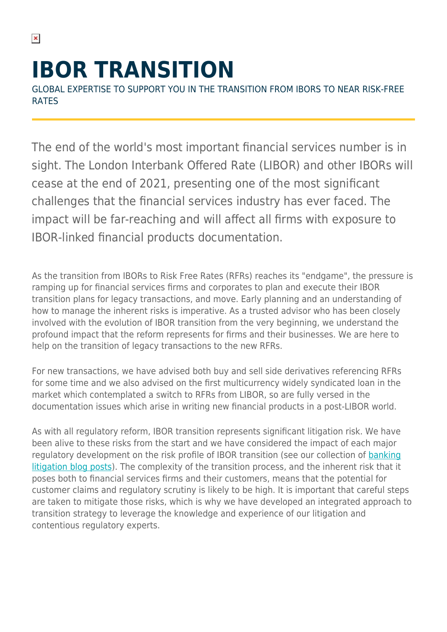# **IBOR TRANSITION**

GLOBAL EXPERTISE TO SUPPORT YOU IN THE TRANSITION FROM IBORS TO NEAR RISK-FREE RATES

The end of the world's most important financial services number is in sight. The London Interbank Offered Rate (LIBOR) and other IBORs will cease at the end of 2021, presenting one of the most significant challenges that the financial services industry has ever faced. The impact will be far-reaching and will affect all firms with exposure to IBOR-linked financial products documentation.

As the transition from IBORs to Risk Free Rates (RFRs) reaches its "endgame", the pressure is ramping up for financial services firms and corporates to plan and execute their IBOR transition plans for legacy transactions, and move. Early planning and an understanding of how to manage the inherent risks is imperative. As a trusted advisor who has been closely involved with the evolution of IBOR transition from the very beginning, we understand the profound impact that the reform represents for firms and their businesses. We are here to help on the transition of legacy transactions to the new RFRs.

For new transactions, we have advised both buy and sell side derivatives referencing RFRs for some time and we also advised on the first multicurrency widely syndicated loan in the market which contemplated a switch to RFRs from LIBOR, so are fully versed in the documentation issues which arise in writing new financial products in a post-LIBOR world.

As with all regulatory reform, IBOR transition represents significant litigation risk. We have been alive to these risks from the start and we have considered the impact of each major regulatory development on the risk profile of IBOR transition (see our collection of [banking](https://hsfnotes.com/bankinglitigation/) [litigation blog posts](https://hsfnotes.com/bankinglitigation/)). The complexity of the transition process, and the inherent risk that it poses both to financial services firms and their customers, means that the potential for customer claims and regulatory scrutiny is likely to be high. It is important that careful steps are taken to mitigate those risks, which is why we have developed an integrated approach to transition strategy to leverage the knowledge and experience of our litigation and contentious regulatory experts.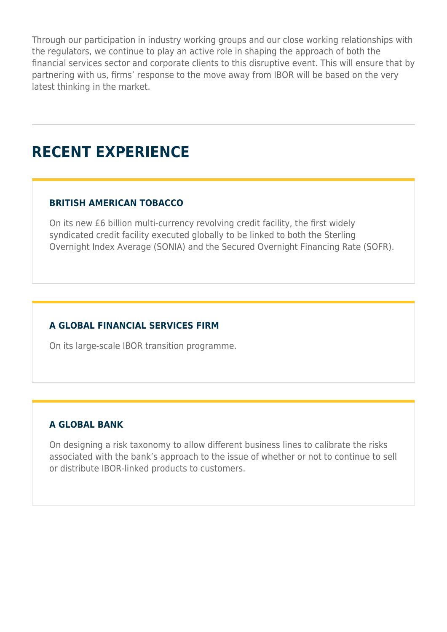Through our participation in industry working groups and our close working relationships with the regulators, we continue to play an active role in shaping the approach of both the financial services sector and corporate clients to this disruptive event. This will ensure that by partnering with us, firms' response to the move away from IBOR will be based on the very latest thinking in the market.

# **RECENT EXPERIENCE**

## **BRITISH AMERICAN TOBACCO**

On its new £6 billion multi-currency revolving credit facility, the first widely syndicated credit facility executed globally to be linked to both the Sterling Overnight Index Average (SONIA) and the Secured Overnight Financing Rate (SOFR).

## **A GLOBAL FINANCIAL SERVICES FIRM**

On its large-scale IBOR transition programme.

### **A GLOBAL BANK**

On designing a risk taxonomy to allow different business lines to calibrate the risks associated with the bank's approach to the issue of whether or not to continue to sell or distribute IBOR-linked products to customers.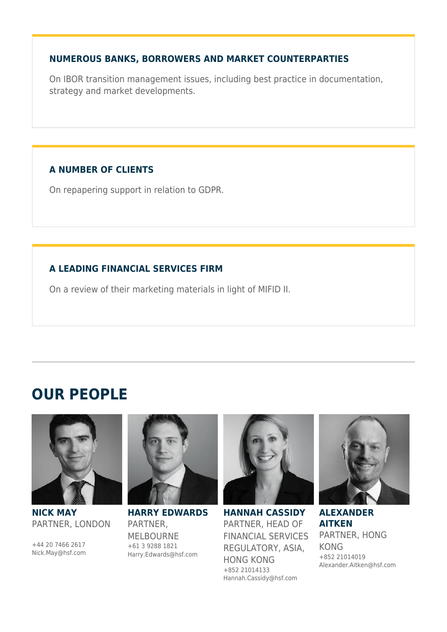### **NUMEROUS BANKS, BORROWERS AND MARKET COUNTERPARTIES**

On IBOR transition management issues, including best practice in documentation, strategy and market developments.

# **A NUMBER OF CLIENTS**

On repapering support in relation to GDPR.

# **A LEADING FINANCIAL SERVICES FIRM**

On a review of their marketing materials in light of MIFID II.

# **OUR PEOPLE**



#### **NICK MAY** PARTNER, LONDON

+44 20 7466 2617 Nick.May@hsf.com



**HARRY EDWARDS** PARTNER, MELBOURNE +61 3 9288 1821 Harry.Edwards@hsf.com



**HANNAH CASSIDY** PARTNER, HEAD OF FINANCIAL SERVICES REGULATORY, ASIA, HONG KONG +852 21014133 Hannah.Cassidy@hsf.com



**ALEXANDER AITKEN** PARTNER, HONG KONG +852 21014019 Alexander.Aitken@hsf.com